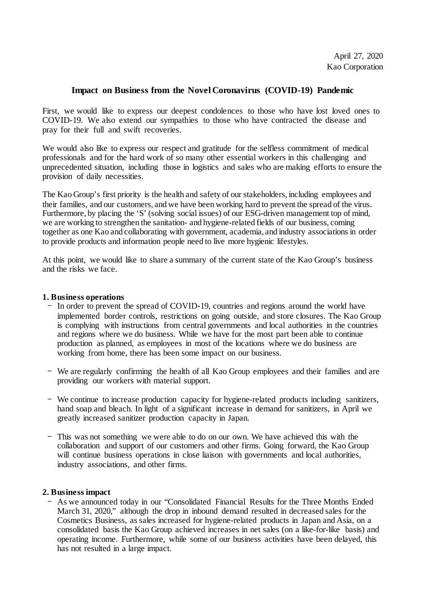# **Impact on Business from the Novel Coronavirus (COVID-19) Pandemic**

First, we would like to express our deepest condolences to those who have lost loved ones to COVID-19. We also extend our sympathies to those who have contracted the disease and pray for their full and swift recoveries.

We would also like to express our respect and gratitude for the selfless commitment of medical professionals and for the hard work of so many other essential workers in this challenging and unprecedented situation, including those in logistics and sales who are making efforts to ensure the provision of daily necessities.

The Kao Group's first priority is the health and safety of our stakeholders, including employees and their families, and our customers, and we have been working hard to prevent the spread of the virus. Furthermore, by placing the 'S' (solving social issues) of our ESG-driven management top of mind, we are working to strengthen the sanitation- and hygiene-related fields of our business, coming together as one Kao and collaborating with government, academia, and industry associations in order to provide products and information people need to live more hygienic lifestyles.

At this point, we would like to share a summary of the current state of the Kao Group's business and the risks we face.

#### **1. Business operations**

- In order to prevent the spread of COVID-19, countries and regions around the world have implemented border controls, restrictions on going outside, and store closures. The Kao Group is complying with instructions from central governments and local authorities in the countries and regions where we do business. While we have for the most part been able to continue production as planned, as employees in most of the locations where we do business are working from home, there has been some impact on our business.
- We are regularly confirming the health of all Kao Group employees and their families and are providing our workers with material support.
- We continue to increase production capacity for hygiene-related products including sanitizers, hand soap and bleach. In light of a significant increase in demand for sanitizers, in April we greatly increased sanitizer production capacity in Japan.
- This was not something we were able to do on our own. We have achieved this with the collaboration and support of our customers and other firms. Going forward, the Kao Group will continue business operations in close liaison with governments and local authorities, industry associations, and other firms.

## **2. Business impact**

- As we announced today in our "Consolidated Financial Results for the Three Months Ended March 31, 2020," although the drop in inbound demand resulted in decreased sales for the Cosmetics Business, as sales increased for hygiene-related products in Japan and Asia, on a consolidated basis the Kao Group achieved increases in net sales (on a like-for-like basis) and operating income. Furthermore, while some of our business activities have been delayed, this has not resulted in a large impact.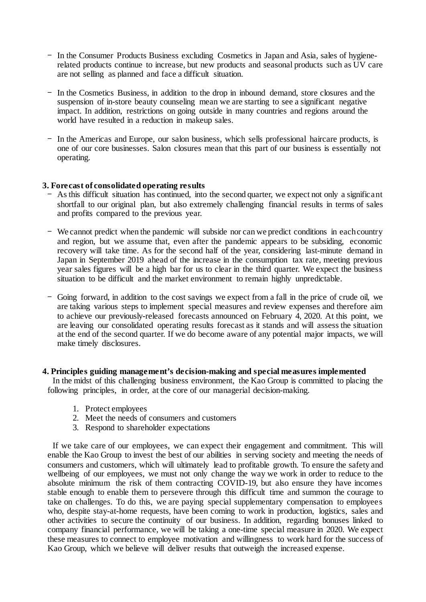- In the Consumer Products Business excluding Cosmetics in Japan and Asia, sales of hygienerelated products continue to increase, but new products and seasonal products such as UV care are not selling as planned and face a difficult situation.
- In the Cosmetics Business, in addition to the drop in inbound demand, store closures and the suspension of in-store beauty counseling mean we are starting to see a significant negative impact. In addition, restrictions on going outside in many countries and regions around the world have resulted in a reduction in makeup sales.
- In the Americas and Europe, our salon business, which sells professional haircare products, is one of our core businesses. Salon closures mean that this part of our business is essentially not operating.

## **3. Forecast of consolidated operating results**

- As this difficult situation has continued, into the second quarter, we expect not only a significant shortfall to our original plan, but also extremely challenging financial results in terms of sales and profits compared to the previous year.
- We cannot predict when the pandemic will subside nor can we predict conditions in each country and region, but we assume that, even after the pandemic appears to be subsiding, economic recovery will take time. As for the second half of the year, considering last-minute demand in Japan in September 2019 ahead of the increase in the consumption tax rate, meeting previous year sales figures will be a high bar for us to clear in the third quarter. We expect the business situation to be difficult and the market environment to remain highly unpredictable.
- Going forward, in addition to the cost savings we expect from a fall in the price of crude oil, we are taking various steps to implement special measures and review expenses and therefore aim to achieve our previously-released forecasts announced on February 4, 2020. At this point, we are leaving our consolidated operating results forecast as it stands and will assess the situation at the end of the second quarter. If we do become aware of any potential major impacts, we will make timely disclosures.

#### **4. Principles guiding management's decision-making and special measures implemented**

In the midst of this challenging business environment, the Kao Group is committed to placing the following principles, in order, at the core of our managerial decision-making.

- 1. Protect employees
- 2. Meet the needs of consumers and customers
- 3. Respond to shareholder expectations

If we take care of our employees, we can expect their engagement and commitment. This will enable the Kao Group to invest the best of our abilities in serving society and meeting the needs of consumers and customers, which will ultimately lead to profitable growth. To ensure the safety and wellbeing of our employees, we must not only change the way we work in order to reduce to the absolute minimum the risk of them contracting COVID-19, but also ensure they have incomes stable enough to enable them to persevere through this difficult time and summon the courage to take on challenges. To do this, we are paying special supplementary compensation to employees who, despite stay-at-home requests, have been coming to work in production, logistics, sales and other activities to secure the continuity of our business. In addition, regarding bonuses linked to company financial performance, we will be taking a one-time special measure in 2020. We expect these measures to connect to employee motivation and willingness to work hard for the success of Kao Group, which we believe will deliver results that outweigh the increased expense.